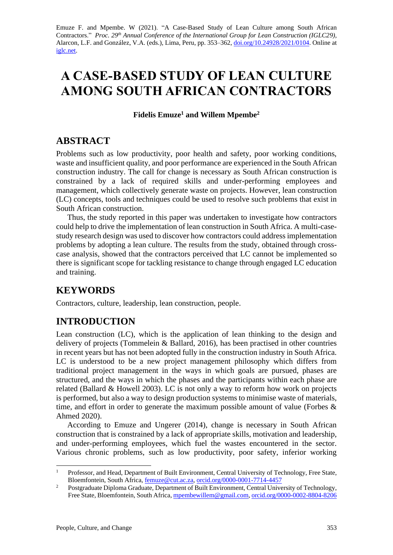Emuze F. and Mpembe. W (2021). "A Case-Based Study of Lean Culture among South African Contractors." *Proc. 29<sup>th</sup> Annual Conference of the International Group for Lean Construction (IGLC29),* Alarcon, L.F. and González, V.A. (eds.)*,* Lima, Peru, pp. 353–362, [doi.org/10.24928/2021/0104.](https://doi.org/10.24928/2020/0104) Online at [iglc.net.](file:///C:/Users/user/Downloads/iglc.net)

# **A CASE-BASED STUDY OF LEAN CULTURE AMONG SOUTH AFRICAN CONTRACTORS**

**Fidelis Emuze<sup>1</sup> and Willem Mpembe<sup>2</sup>**

# **ABSTRACT**

Problems such as low productivity, poor health and safety, poor working conditions, waste and insufficient quality, and poor performance are experienced in the South African construction industry. The call for change is necessary as South African construction is constrained by a lack of required skills and under-performing employees and management, which collectively generate waste on projects. However, lean construction (LC) concepts, tools and techniques could be used to resolve such problems that exist in South African construction.

Thus, the study reported in this paper was undertaken to investigate how contractors could help to drive the implementation of lean construction in South Africa. A multi-casestudy research design was used to discover how contractors could addressimplementation problems by adopting a lean culture. The results from the study, obtained through crosscase analysis, showed that the contractors perceived that LC cannot be implemented so there is significant scope for tackling resistance to change through engaged LC education and training.

# **KEYWORDS**

Contractors, culture, leadership, lean construction, people.

# **INTRODUCTION**

Lean construction (LC), which is the application of lean thinking to the design and delivery of projects (Tommelein & Ballard, 2016), has been practised in other countries in recent years but has not been adopted fully in the construction industry in South Africa. LC is understood to be a new project management philosophy which differs from traditional project management in the ways in which goals are pursued, phases are structured, and the ways in which the phases and the participants within each phase are related (Ballard & Howell 2003). LC is not only a way to reform how work on projects is performed, but also a way to design production systems to minimise waste of materials, time, and effort in order to generate the maximum possible amount of value (Forbes & Ahmed 2020).

According to Emuze and Ungerer (2014), change is necessary in South African construction that is constrained by a lack of appropriate skills, motivation and leadership, and under-performing employees, which fuel the wastes encountered in the sector. Various chronic problems, such as low productivity, poor safety, inferior working

<sup>1</sup> Professor, and Head, Department of Built Environment, Central University of Technology, Free State, Bloemfontein, South Africa, [femuze@cut.ac.za,](mailto:femuze@cut.ac.za) [orcid.org/0000-0001-7714-4457](https://orcid.org/0000-0001-7714-4457)

<sup>&</sup>lt;sup>2</sup> Postgraduate Diploma Graduate, Department of Built Environment, Central University of Technology, Free State, Bloemfontein, South Africa[, mpembewillem@gmail.com,](mailto:mpembewillem@gmail.com) [orcid.org/0000-0002-8804-8206](https://orcid.org/0000-0002-8804-8206)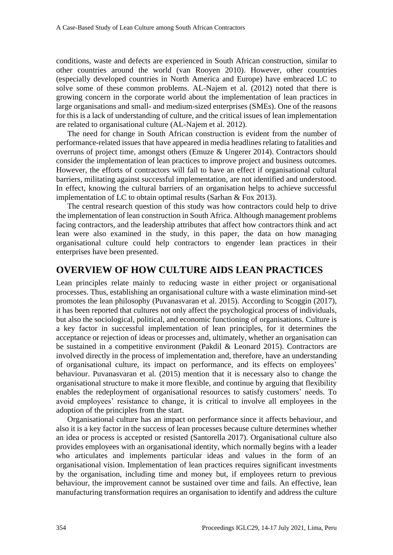conditions, waste and defects are experienced in South African construction, similar to other countries around the world (van Rooyen 2010). However, other countries (especially developed countries in North America and Europe) have embraced LC to solve some of these common problems. AL-Najem et al. (2012) noted that there is growing concern in the corporate world about the implementation of lean practices in large organisations and small- and medium-sized enterprises (SMEs). One of the reasons for this is a lack of understanding of culture, and the critical issues of lean implementation are related to organisational culture (AL-Najem et al. 2012).

The need for change in South African construction is evident from the number of performance-related issues that have appeared in media headlines relating to fatalities and overruns of project time, amongst others (Emuze & Ungerer 2014). Contractors should consider the implementation of lean practices to improve project and business outcomes. However, the efforts of contractors will fail to have an effect if organisational cultural barriers, militating against successful implementation, are not identified and understood. In effect, knowing the cultural barriers of an organisation helps to achieve successful implementation of LC to obtain optimal results (Sarhan & Fox 2013).

The central research question of this study was how contractors could help to drive the implementation of lean construction in South Africa. Although management problems facing contractors, and the leadership attributes that affect how contractors think and act lean were also examined in the study, in this paper, the data on how managing organisational culture could help contractors to engender lean practices in their enterprises have been presented.

#### **OVERVIEW OF HOW CULTURE AIDS LEAN PRACTICES**

Lean principles relate mainly to reducing waste in either project or organisational processes. Thus, establishing an organisational culture with a waste elimination mind-set promotes the lean philosophy (Puvanasvaran et al. 2015). According to Scoggin (2017), it has been reported that cultures not only affect the psychological process of individuals, but also the sociological, political, and economic functioning of organisations. Culture is a key factor in successful implementation of lean principles, for it determines the acceptance or rejection of ideas or processes and, ultimately, whether an organisation can be sustained in a competitive environment (Pakdil & Leonard 2015). Contractors are involved directly in the process of implementation and, therefore, have an understanding of organisational culture, its impact on performance, and its effects on employees' behaviour. Puvanasvaran et al. (2015) mention that it is necessary also to change the organisational structure to make it more flexible, and continue by arguing that flexibility enables the redeployment of organisational resources to satisfy customers' needs. To avoid employees' resistance to change, it is critical to involve all employees in the adoption of the principles from the start.

Organisational culture has an impact on performance since it affects behaviour, and also it is a key factor in the success of lean processes because culture determines whether an idea or process is accepted or resisted (Santorella 2017). Organisational culture also provides employees with an organisational identity, which normally begins with a leader who articulates and implements particular ideas and values in the form of an organisational vision. Implementation of lean practices requires significant investments by the organisation, including time and money but, if employees return to previous behaviour, the improvement cannot be sustained over time and fails. An effective, lean manufacturing transformation requires an organisation to identify and address the culture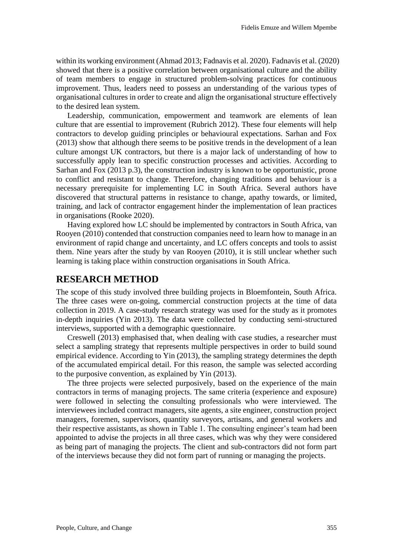within its working environment (Ahmad 2013; Fadnavis et al. 2020). Fadnavis et al. (2020) showed that there is a positive correlation between organisational culture and the ability of team members to engage in structured problem-solving practices for continuous improvement. Thus, leaders need to possess an understanding of the various types of organisational cultures in order to create and align the organisational structure effectively to the desired lean system.

Leadership, communication, empowerment and teamwork are elements of lean culture that are essential to improvement (Rubrich 2012). These four elements will help contractors to develop guiding principles or behavioural expectations. Sarhan and Fox (2013) show that although there seems to be positive trends in the development of a lean culture amongst UK contractors, but there is a major lack of understanding of how to successfully apply lean to specific construction processes and activities. According to Sarhan and Fox (2013 p.3), the construction industry is known to be opportunistic, prone to conflict and resistant to change. Therefore, changing traditions and behaviour is a necessary prerequisite for implementing LC in South Africa. Several authors have discovered that structural patterns in resistance to change, apathy towards, or limited, training, and lack of contractor engagement hinder the implementation of lean practices in organisations (Rooke 2020).

Having explored how LC should be implemented by contractors in South Africa, van Rooyen (2010) contended that construction companies need to learn how to manage in an environment of rapid change and uncertainty, and LC offers concepts and tools to assist them. Nine years after the study by van Rooyen (2010), it is still unclear whether such learning is taking place within construction organisations in South Africa.

#### **RESEARCH METHOD**

The scope of this study involved three building projects in Bloemfontein, South Africa. The three cases were on-going, commercial construction projects at the time of data collection in 2019. A case-study research strategy was used for the study as it promotes in-depth inquiries (Yin 2013). The data were collected by conducting semi-structured interviews, supported with a demographic questionnaire.

Creswell (2013) emphasised that, when dealing with case studies, a researcher must select a sampling strategy that represents multiple perspectives in order to build sound empirical evidence. According to Yin (2013), the sampling strategy determines the depth of the accumulated empirical detail. For this reason, the sample was selected according to the purposive convention, as explained by Yin (2013).

The three projects were selected purposively, based on the experience of the main contractors in terms of managing projects. The same criteria (experience and exposure) were followed in selecting the consulting professionals who were interviewed. The interviewees included contract managers, site agents, a site engineer, construction project managers, foremen, supervisors, quantity surveyors, artisans, and general workers and their respective assistants, as shown in Table 1. The consulting engineer's team had been appointed to advise the projects in all three cases, which was why they were considered as being part of managing the projects. The client and sub-contractors did not form part of the interviews because they did not form part of running or managing the projects.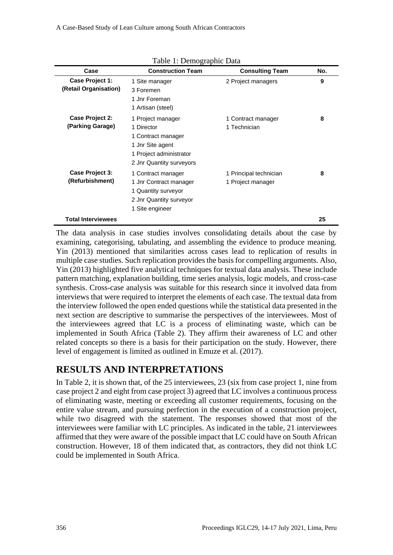|                                          | Table 1: Demographic Data                                                                                                        |                                             |     |
|------------------------------------------|----------------------------------------------------------------------------------------------------------------------------------|---------------------------------------------|-----|
| Case                                     | <b>Construction Team</b>                                                                                                         | <b>Consulting Team</b>                      | No. |
| Case Project 1:<br>(Retail Organisation) | 1 Site manager<br>3 Foremen<br>1 Jnr Foreman<br>1 Artisan (steel)                                                                | 2 Project managers                          | 9   |
| Case Project 2:<br>(Parking Garage)      | 1 Project manager<br>1 Director<br>1 Contract manager<br>1 Jnr Site agent<br>1 Project administrator<br>2 Jnr Quantity surveyors | 1 Contract manager<br>1 Technician          | 8   |
| Case Project 3:<br>(Refurbishment)       | 1 Contract manager<br>1 Jnr Contract manager<br>1 Quantity surveyor<br>2 Jnr Quantity surveyor<br>1 Site engineer                | 1 Principal technician<br>1 Project manager | 8   |
| <b>Total Interviewees</b>                |                                                                                                                                  |                                             | 25  |

The data analysis in case studies involves consolidating details about the case by examining, categorising, tabulating, and assembling the evidence to produce meaning. Yin (2013) mentioned that similarities across cases lead to replication of results in multiple case studies. Such replication provides the basis for compelling arguments. Also, Yin (2013) highlighted five analytical techniques for textual data analysis. These include pattern matching, explanation building, time series analysis, logic models, and cross-case synthesis. Cross-case analysis was suitable for this research since it involved data from interviews that were required to interpret the elements of each case. The textual data from the interview followed the open ended questions while the statistical data presented in the next section are descriptive to summarise the perspectives of the interviewees. Most of the interviewees agreed that LC is a process of eliminating waste, which can be implemented in South Africa (Table 2). They affirm their awareness of LC and other related concepts so there is a basis for their participation on the study. However, there level of engagement is limited as outlined in Emuze et al. (2017).

# **RESULTS AND INTERPRETATIONS**

In Table 2, it is shown that, of the 25 interviewees, 23 (six from case project 1, nine from case project 2 and eight from case project 3) agreed that LC involves a continuous process of eliminating waste, meeting or exceeding all customer requirements, focusing on the entire value stream, and pursuing perfection in the execution of a construction project, while two disagreed with the statement. The responses showed that most of the interviewees were familiar with LC principles. As indicated in the table, 21 interviewees affirmed that they were aware of the possible impact that LC could have on South African construction. However, 18 of them indicated that, as contractors, they did not think LC could be implemented in South Africa.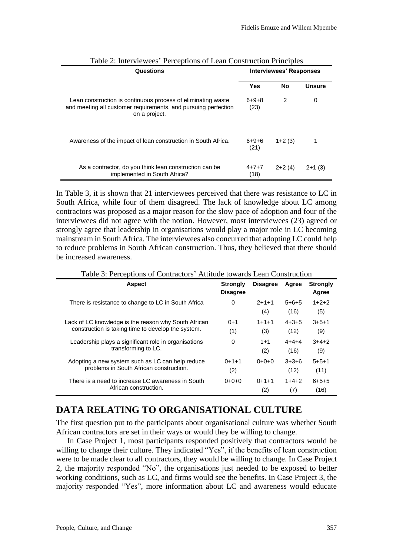| Questions                                                                                                                                       |                     | <b>Interviewees' Responses</b> |               |  |
|-------------------------------------------------------------------------------------------------------------------------------------------------|---------------------|--------------------------------|---------------|--|
|                                                                                                                                                 | <b>Yes</b>          | <b>No</b>                      | <b>Unsure</b> |  |
| Lean construction is continuous process of eliminating waste<br>and meeting all customer requirements, and pursuing perfection<br>on a project. | 6+9+8<br>(23)       | 2                              | 0             |  |
| Awareness of the impact of lean construction in South Africa.                                                                                   | 6+9+6<br>(21)       | $1+2(3)$                       |               |  |
| As a contractor, do you think lean construction can be<br>implemented in South Africa?                                                          | $4 + 7 + 7$<br>(18) | $2+2(4)$                       | $2+1(3)$      |  |

In Table 3, it is shown that 21 interviewees perceived that there was resistance to LC in South Africa, while four of them disagreed. The lack of knowledge about LC among contractors was proposed as a major reason for the slow pace of adoption and four of the interviewees did not agree with the notion. However, most interviewees (23) agreed or strongly agree that leadership in organisations would play a major role in LC becoming mainstream in South Africa. The interviewees also concurred that adopting LC could help to reduce problems in South African construction. Thus, they believed that there should be increased awareness.

| <b>Aspect</b>                                        | <b>Strongly</b><br><b>Disagree</b> | <b>Disagree</b>    | Agree           | <b>Strongly</b><br>Agree |
|------------------------------------------------------|------------------------------------|--------------------|-----------------|--------------------------|
| There is resistance to change to LC in South Africa  | 0                                  | $2 + 1 + 1$<br>(4) | $5+6+5$<br>(16) | $1+2+2$<br>(5)           |
| Lack of LC knowledge is the reason why South African | $0+1$                              | $1 + 1 + 1$        | $4 + 3 + 5$     | $3+5+1$                  |
| construction is taking time to develop the system.   | (1)                                | (3)                | (12)            | (9)                      |
| Leadership plays a significant role in organisations | 0                                  | $1 + 1$            | $4 + 4 + 4$     | $3+4+2$                  |
| transforming to LC.                                  |                                    | (2)                | (16)            | (9)                      |
| Adopting a new system such as LC can help reduce     | $0+1+1$                            | $0+0+0$            | $3+3+6$         | $5 + 5 + 1$              |
| problems in South African construction.              | (2)                                |                    | (12)            | (11)                     |
| There is a need to increase LC awareness in South    | $0+0+0$                            | $0+1+1$            | $1+4+2$         | $6 + 5 + 5$              |
| African construction.                                |                                    | (2)                | (7)             | (16)                     |

Table 3: Perceptions of Contractors' Attitude towards Lean Construction

### **DATA RELATING TO ORGANISATIONAL CULTURE**

The first question put to the participants about organisational culture was whether South African contractors are set in their ways or would they be willing to change.

In Case Project 1, most participants responded positively that contractors would be willing to change their culture. They indicated "Yes", if the benefits of lean construction were to be made clear to all contractors, they would be willing to change. In Case Project 2, the majority responded "No", the organisations just needed to be exposed to better working conditions, such as LC, and firms would see the benefits. In Case Project 3, the majority responded "Yes", more information about LC and awareness would educate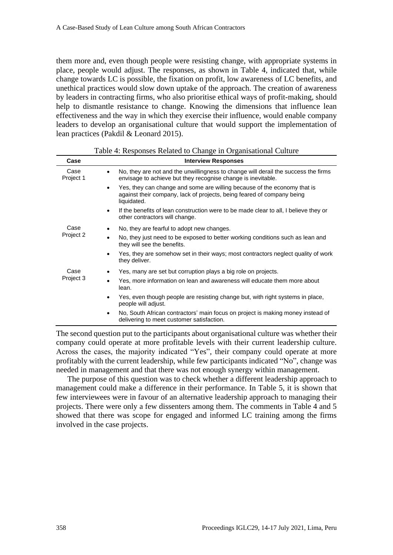them more and, even though people were resisting change, with appropriate systems in place, people would adjust. The responses, as shown in Table 4, indicated that, while change towards LC is possible, the fixation on profit, low awareness of LC benefits, and unethical practices would slow down uptake of the approach. The creation of awareness by leaders in contracting firms, who also prioritise ethical ways of profit-making, should help to dismantle resistance to change. Knowing the dimensions that influence lean effectiveness and the way in which they exercise their influence, would enable company leaders to develop an organisational culture that would support the implementation of lean practices (Pakdil & Leonard 2015).

| Case              | <b>Interview Responses</b>                                                                                                                                        |
|-------------------|-------------------------------------------------------------------------------------------------------------------------------------------------------------------|
| Case<br>Project 1 | No, they are not and the unwillingness to change will derail the success the firms<br>envisage to achieve but they recognise change is inevitable.                |
|                   | Yes, they can change and some are willing because of the economy that is<br>against their company, lack of projects, being feared of company being<br>liquidated. |
|                   | If the benefits of lean construction were to be made clear to all, I believe they or<br>other contractors will change.                                            |
| Case<br>Project 2 | No, they are fearful to adopt new changes.                                                                                                                        |
|                   | No, they just need to be exposed to better working conditions such as lean and<br>they will see the benefits.                                                     |
|                   | Yes, they are somehow set in their ways; most contractors neglect quality of work<br>they deliver.                                                                |
| Case<br>Project 3 | Yes, many are set but corruption plays a big role on projects.                                                                                                    |
|                   | Yes, more information on lean and awareness will educate them more about<br>lean.                                                                                 |
|                   | Yes, even though people are resisting change but, with right systems in place,<br>people will adjust.                                                             |
|                   | No, South African contractors' main focus on project is making money instead of<br>delivering to meet customer satisfaction.                                      |

|  |  | Table 4: Responses Related to Change in Organisational Culture |
|--|--|----------------------------------------------------------------|
|  |  |                                                                |

The second question put to the participants about organisational culture was whether their company could operate at more profitable levels with their current leadership culture. Across the cases, the majority indicated "Yes", their company could operate at more profitably with the current leadership, while few participants indicated "No", change was needed in management and that there was not enough synergy within management.

The purpose of this question was to check whether a different leadership approach to management could make a difference in their performance. In Table 5, it is shown that few interviewees were in favour of an alternative leadership approach to managing their projects. There were only a few dissenters among them. The comments in Table 4 and 5 showed that there was scope for engaged and informed LC training among the firms involved in the case projects.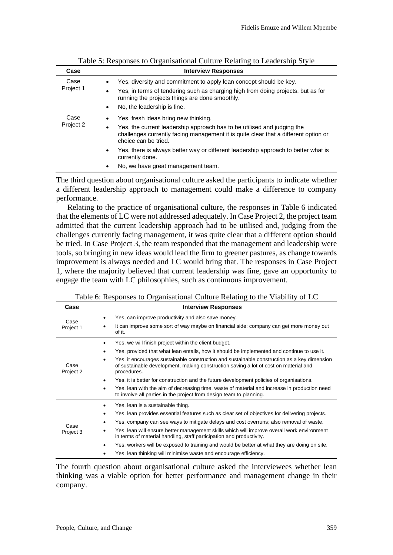| Case              | <b>Interview Responses</b>                                                                                                                                                                          |
|-------------------|-----------------------------------------------------------------------------------------------------------------------------------------------------------------------------------------------------|
| Case<br>Project 1 | Yes, diversity and commitment to apply lean concept should be key.                                                                                                                                  |
|                   | Yes, in terms of tendering such as charging high from doing projects, but as for<br>$\bullet$<br>running the projects things are done smoothly.                                                     |
|                   | No, the leadership is fine.<br>$\bullet$                                                                                                                                                            |
| Case<br>Project 2 | Yes, fresh ideas bring new thinking.                                                                                                                                                                |
|                   | Yes, the current leadership approach has to be utilised and judging the<br>$\bullet$<br>challenges currently facing management it is quite clear that a different option or<br>choice can be tried. |
|                   | Yes, there is always better way or different leadership approach to better what is<br>$\bullet$<br>currently done.                                                                                  |
|                   | No, we have great management team.                                                                                                                                                                  |

Table 5: Responses to Organisational Culture Relating to Leadership Style

The third question about organisational culture asked the participants to indicate whether a different leadership approach to management could make a difference to company performance.

Relating to the practice of organisational culture, the responses in Table 6 indicated that the elements of LC were not addressed adequately. In Case Project 2, the project team admitted that the current leadership approach had to be utilised and, judging from the challenges currently facing management, it was quite clear that a different option should be tried. In Case Project 3, the team responded that the management and leadership were tools, so bringing in new ideas would lead the firm to greener pastures, as change towards improvement is always needed and LC would bring that. The responses in Case Project 1, where the majority believed that current leadership was fine, gave an opportunity to engage the team with LC philosophies, such as continuous improvement.

| Case              | <b>Interview Responses</b>                                                                                                                                                                         |
|-------------------|----------------------------------------------------------------------------------------------------------------------------------------------------------------------------------------------------|
| Case<br>Project 1 | Yes, can improve productivity and also save money.                                                                                                                                                 |
|                   | It can improve some sort of way maybe on financial side; company can get more money out<br>of it.                                                                                                  |
| Case<br>Project 2 | Yes, we will finish project within the client budget.                                                                                                                                              |
|                   | Yes, provided that what lean entails, how it should be implemented and continue to use it.                                                                                                         |
|                   | Yes, it encourages sustainable construction and sustainable construction as a key dimension<br>of sustainable development, making construction saving a lot of cost on material and<br>procedures. |
|                   | Yes, it is better for construction and the future development policies of organisations.                                                                                                           |
|                   | Yes, lean with the aim of decreasing time, waste of material and increase in production need<br>to involve all parties in the project from design team to planning.                                |
|                   | Yes, lean is a sustainable thing.                                                                                                                                                                  |
| Case<br>Project 3 | Yes, lean provides essential features such as clear set of objectives for delivering projects.                                                                                                     |
|                   | Yes, company can see ways to mitigate delays and cost overruns; also removal of waste.                                                                                                             |
|                   | Yes, lean will ensure better management skills which will improve overall work environment<br>in terms of material handling, staff participation and productivity.                                 |
|                   | Yes, workers will be exposed to training and would be better at what they are doing on site.                                                                                                       |
|                   | Yes, lean thinking will minimise waste and encourage efficiency.                                                                                                                                   |

Table 6: Responses to Organisational Culture Relating to the Viability of LC

The fourth question about organisational culture asked the interviewees whether lean thinking was a viable option for better performance and management change in their company.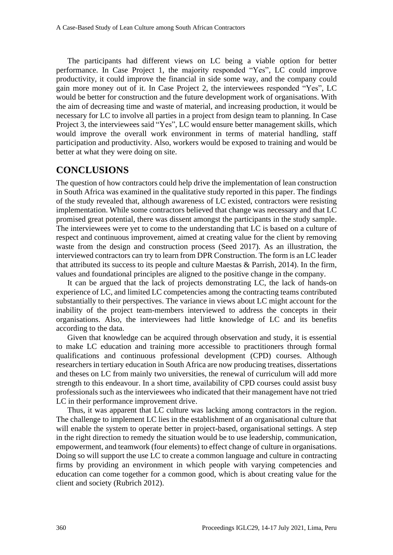The participants had different views on LC being a viable option for better performance. In Case Project 1, the majority responded "Yes", LC could improve productivity, it could improve the financial in side some way, and the company could gain more money out of it. In Case Project 2, the interviewees responded "Yes", LC would be better for construction and the future development work of organisations. With the aim of decreasing time and waste of material, and increasing production, it would be necessary for LC to involve all parties in a project from design team to planning. In Case Project 3, the interviewees said "Yes", LC would ensure better management skills, which would improve the overall work environment in terms of material handling, staff participation and productivity. Also, workers would be exposed to training and would be better at what they were doing on site.

#### **CONCLUSIONS**

The question of how contractors could help drive the implementation of lean construction in South Africa was examined in the qualitative study reported in this paper. The findings of the study revealed that, although awareness of LC existed, contractors were resisting implementation. While some contractors believed that change was necessary and that LC promised great potential, there was dissent amongst the participants in the study sample. The interviewees were yet to come to the understanding that LC is based on a culture of respect and continuous improvement, aimed at creating value for the client by removing waste from the design and construction process (Seed 2017). As an illustration, the interviewed contractors can try to learn from DPR Construction. The form is an LC leader that attributed its success to its people and culture Maestas  $\&$  Parrish, 2014). In the firm, values and foundational principles are aligned to the positive change in the company.

It can be argued that the lack of projects demonstrating LC, the lack of hands-on experience of LC, and limited LC competencies among the contracting teams contributed substantially to their perspectives. The variance in views about LC might account for the inability of the project team-members interviewed to address the concepts in their organisations. Also, the interviewees had little knowledge of LC and its benefits according to the data.

Given that knowledge can be acquired through observation and study, it is essential to make LC education and training more accessible to practitioners through formal qualifications and continuous professional development (CPD) courses. Although researchers in tertiary education in South Africa are now producing treatises, dissertations and theses on LC from mainly two universities, the renewal of curriculum will add more strength to this endeavour. In a short time, availability of CPD courses could assist busy professionals such as the interviewees who indicated that their management have not tried LC in their performance improvement drive.

Thus, it was apparent that LC culture was lacking among contractors in the region. The challenge to implement LC lies in the establishment of an organisational culture that will enable the system to operate better in project-based, organisational settings. A step in the right direction to remedy the situation would be to use leadership, communication, empowerment, and teamwork (four elements) to effect change of culture in organisations. Doing so will support the use LC to create a common language and culture in contracting firms by providing an environment in which people with varying competencies and education can come together for a common good, which is about creating value for the client and society (Rubrich 2012).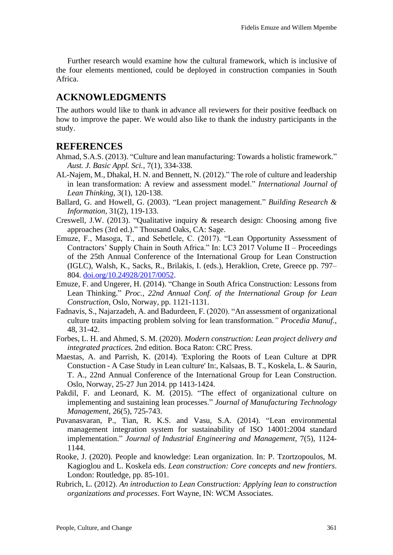Further research would examine how the cultural framework, which is inclusive of the four elements mentioned, could be deployed in construction companies in South Africa.

## **ACKNOWLEDGMENTS**

The authors would like to thank in advance all reviewers for their positive feedback on how to improve the paper. We would also like to thank the industry participants in the study.

### **REFERENCES**

- Ahmad, S.A.S. (2013). "Culture and lean manufacturing: Towards a holistic framework." *Aust. J. Basic Appl. Sci.*, 7(1), 334-338.
- AL-Najem, M., Dhakal, H. N. and Bennett, N. (2012)." The role of culture and leadership in lean transformation: A review and assessment model." *International Journal of Lean Thinking*, 3(1), 120-138.
- Ballard, G. and Howell, G. (2003). "Lean project management." *Building Research & Information,* 31(2), 119-133.
- Creswell, J.W. (2013). "Qualitative inquiry & research design: Choosing among five approaches (3rd ed.)." Thousand Oaks, CA: Sage.
- Emuze, F., Masoga, T., and Sebetlele, C. (2017). "Lean Opportunity Assessment of Contractors' Supply Chain in South Africa." In: LC3 2017 Volume II – Proceedings of the 25th Annual Conference of the International Group for Lean Construction (IGLC), Walsh, K., Sacks, R., Brilakis, I. (eds.), Heraklion, Crete, Greece pp. 797– 804. [doi.org/10.24928/2017/0052.](https://doi.org/10.24928/2017/0052)
- Emuze, F. and Ungerer, H. (2014). "Change in South Africa Construction: Lessons from Lean Thinking." *Proc., 22nd Annual Conf. of the International Group for Lean Construction,* Oslo, Norway, pp. 1121-1131.
- Fadnavis, S., Najarzadeh, A. and Badurdeen, F. (2020). "An assessment of organizational culture traits impacting problem solving for lean transformation*." Procedia Manuf*., 48, 31-42.
- Forbes, L. H. and Ahmed, S. M. (2020). *Modern construction: Lean project delivery and integrated practices.* 2nd edition. Boca Raton: CRC Press.
- Maestas, A. and Parrish, K. (2014). 'Exploring the Roots of Lean Culture at DPR Constuction - A Case Study in Lean culture' In:, Kalsaas, B. T., Koskela, L. & Saurin, T. A., 22nd Annual Conference of the International Group for Lean Construction. Oslo, Norway, 25-27 Jun 2014. pp 1413-1424.
- Pakdil, F. and Leonard, K. M. (2015). "The effect of organizational culture on implementing and sustaining lean processes." *Journal of Manufacturing Technology Management*, 26(5), 725-743.
- Puvanasvaran, P., Tian, R. K.S. and Vasu, S.A. (2014). "Lean environmental management integration system for sustainability of ISO 14001:2004 standard implementation." *Journal of Industrial Engineering and Management*, 7(5), 1124- 1144.
- Rooke, J. (2020). People and knowledge: Lean organization. In: P. Tzortzopoulos, M. Kagioglou and L. Koskela eds. *Lean construction: Core concepts and new frontiers*. London: Routledge, pp. 85-101.
- Rubrich, L. (2012). *An introduction to Lean Construction: Applying lean to construction organizations and processes*. Fort Wayne, IN: WCM Associates.